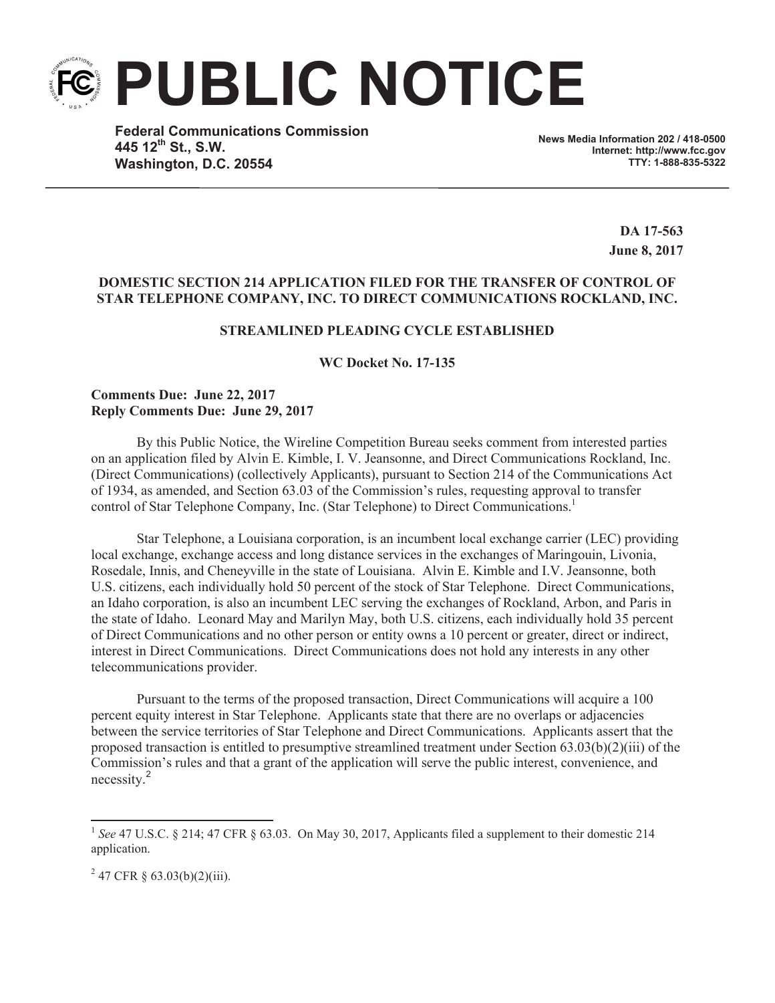**PUBLIC NOTICE**

**Federal Communications Commission 445 12th St., S.W. Washington, D.C. 20554**

**News Media Information 202 / 418-0500 Internet: http://www.fcc.gov TTY: 1-888-835-5322**

> **DA 17-563 June 8, 2017**

## **DOMESTIC SECTION 214 APPLICATION FILED FOR THE TRANSFER OF CONTROL OF STAR TELEPHONE COMPANY, INC. TO DIRECT COMMUNICATIONS ROCKLAND, INC.**

## **STREAMLINED PLEADING CYCLE ESTABLISHED**

**WC Docket No. 17-135**

**Comments Due: June 22, 2017 Reply Comments Due: June 29, 2017**

By this Public Notice, the Wireline Competition Bureau seeks comment from interested parties on an application filed by Alvin E. Kimble, I. V. Jeansonne, and Direct Communications Rockland, Inc. (Direct Communications) (collectively Applicants), pursuant to Section 214 of the Communications Act of 1934, as amended, and Section 63.03 of the Commission's rules, requesting approval to transfer control of Star Telephone Company, Inc. (Star Telephone) to Direct Communications.<sup>1</sup>

Star Telephone, a Louisiana corporation, is an incumbent local exchange carrier (LEC) providing local exchange, exchange access and long distance services in the exchanges of Maringouin, Livonia, Rosedale, Innis, and Cheneyville in the state of Louisiana. Alvin E. Kimble and I.V. Jeansonne, both U.S. citizens, each individually hold 50 percent of the stock of Star Telephone. Direct Communications, an Idaho corporation, is also an incumbent LEC serving the exchanges of Rockland, Arbon, and Paris in the state of Idaho. Leonard May and Marilyn May, both U.S. citizens, each individually hold 35 percent of Direct Communications and no other person or entity owns a 10 percent or greater, direct or indirect, interest in Direct Communications. Direct Communications does not hold any interests in any other telecommunications provider.

Pursuant to the terms of the proposed transaction, Direct Communications will acquire a 100 percent equity interest in Star Telephone. Applicants state that there are no overlaps or adjacencies between the service territories of Star Telephone and Direct Communications. Applicants assert that the proposed transaction is entitled to presumptive streamlined treatment under Section 63.03(b)(2)(iii) of the Commission's rules and that a grant of the application will serve the public interest, convenience, and necessity. 2

 $2^{2}$  47 CFR § 63.03(b)(2)(iii).

<sup>&</sup>lt;sup>1</sup> See 47 U.S.C. § 214; 47 CFR § 63.03. On May 30, 2017, Applicants filed a supplement to their domestic 214 application.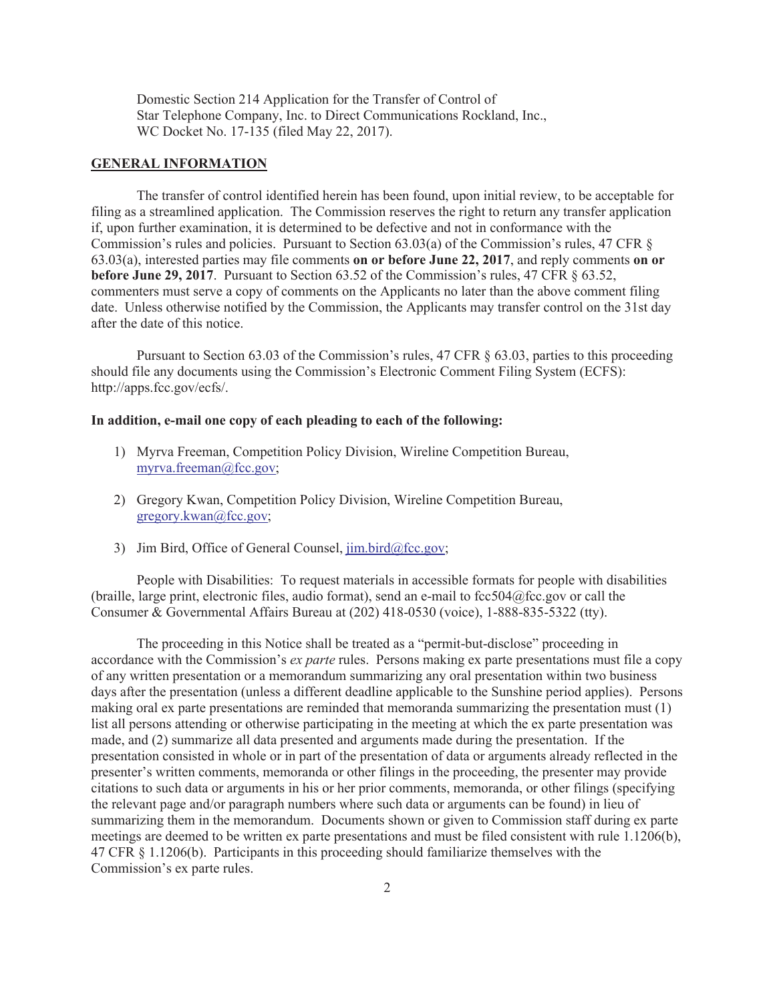Domestic Section 214 Application for the Transfer of Control of Star Telephone Company, Inc. to Direct Communications Rockland, Inc., WC Docket No. 17-135 (filed May 22, 2017).

## **GENERAL INFORMATION**

The transfer of control identified herein has been found, upon initial review, to be acceptable for filing as a streamlined application. The Commission reserves the right to return any transfer application if, upon further examination, it is determined to be defective and not in conformance with the Commission's rules and policies. Pursuant to Section 63.03(a) of the Commission's rules, 47 CFR § 63.03(a), interested parties may file comments **on or before June 22, 2017**, and reply comments **on or before June 29, 2017**. Pursuant to Section 63.52 of the Commission's rules, 47 CFR § 63.52, commenters must serve a copy of comments on the Applicants no later than the above comment filing date. Unless otherwise notified by the Commission, the Applicants may transfer control on the 31st day after the date of this notice.

Pursuant to Section 63.03 of the Commission's rules, 47 CFR § 63.03, parties to this proceeding should file any documents using the Commission's Electronic Comment Filing System (ECFS): http://apps.fcc.gov/ecfs/.

## **In addition, e-mail one copy of each pleading to each of the following:**

- 1) Myrva Freeman, Competition Policy Division, Wireline Competition Bureau, myrva.freeman@fcc.gov;
- 2) Gregory Kwan, Competition Policy Division, Wireline Competition Bureau, gregory.kwan@fcc.gov;
- 3) Jim Bird, Office of General Counsel, jim.bird@fcc.gov;

People with Disabilities: To request materials in accessible formats for people with disabilities (braille, large print, electronic files, audio format), send an e-mail to  $fcc504@$ fcc.gov or call the Consumer & Governmental Affairs Bureau at (202) 418-0530 (voice), 1-888-835-5322 (tty).

The proceeding in this Notice shall be treated as a "permit-but-disclose" proceeding in accordance with the Commission's *ex parte* rules. Persons making ex parte presentations must file a copy of any written presentation or a memorandum summarizing any oral presentation within two business days after the presentation (unless a different deadline applicable to the Sunshine period applies). Persons making oral ex parte presentations are reminded that memoranda summarizing the presentation must (1) list all persons attending or otherwise participating in the meeting at which the ex parte presentation was made, and (2) summarize all data presented and arguments made during the presentation. If the presentation consisted in whole or in part of the presentation of data or arguments already reflected in the presenter's written comments, memoranda or other filings in the proceeding, the presenter may provide citations to such data or arguments in his or her prior comments, memoranda, or other filings (specifying the relevant page and/or paragraph numbers where such data or arguments can be found) in lieu of summarizing them in the memorandum. Documents shown or given to Commission staff during ex parte meetings are deemed to be written ex parte presentations and must be filed consistent with rule 1.1206(b), 47 CFR § 1.1206(b). Participants in this proceeding should familiarize themselves with the Commission's ex parte rules.